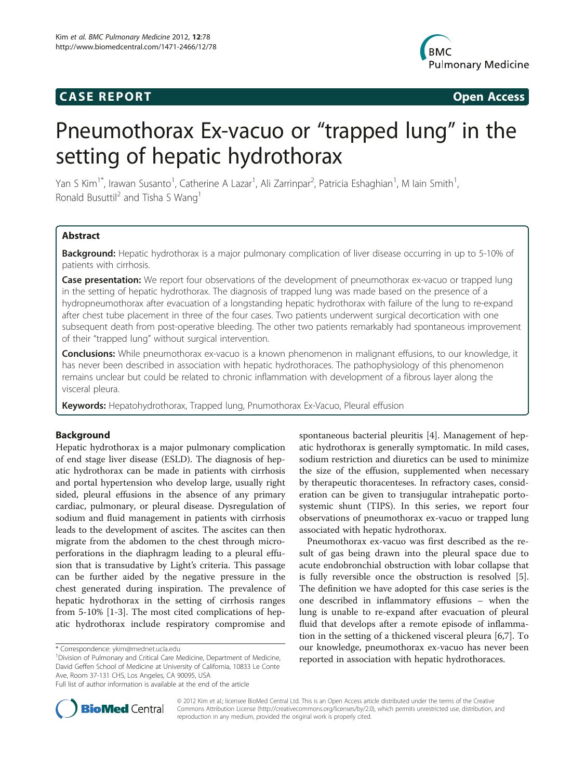## **CASE REPORT CASE REPORT**



# Pneumothorax Ex-vacuo or "trapped lung" in the setting of hepatic hydrothorax

Yan S Kim<sup>1\*</sup>, Irawan Susanto<sup>1</sup>, Catherine A Lazar<sup>1</sup>, Ali Zarrinpar<sup>2</sup>, Patricia Eshaghian<sup>1</sup>, M Iain Smith<sup>1</sup> , Ronald Busuttil<sup>2</sup> and Tisha S Wang<sup>1</sup>

## Abstract

Background: Hepatic hydrothorax is a major pulmonary complication of liver disease occurring in up to 5-10% of patients with cirrhosis.

**Case presentation:** We report four observations of the development of pneumothorax ex-vacuo or trapped lung in the setting of hepatic hydrothorax. The diagnosis of trapped lung was made based on the presence of a hydropneumothorax after evacuation of a longstanding hepatic hydrothorax with failure of the lung to re-expand after chest tube placement in three of the four cases. Two patients underwent surgical decortication with one subsequent death from post-operative bleeding. The other two patients remarkably had spontaneous improvement of their "trapped lung" without surgical intervention.

**Conclusions:** While pneumothorax ex-vacuo is a known phenomenon in malignant effusions, to our knowledge, it has never been described in association with hepatic hydrothoraces. The pathophysiology of this phenomenon remains unclear but could be related to chronic inflammation with development of a fibrous layer along the visceral pleura.

Keywords: Hepatohydrothorax, Trapped lung, Pnumothorax Ex-Vacuo, Pleural effusion

## Background

Hepatic hydrothorax is a major pulmonary complication of end stage liver disease (ESLD). The diagnosis of hepatic hydrothorax can be made in patients with cirrhosis and portal hypertension who develop large, usually right sided, pleural effusions in the absence of any primary cardiac, pulmonary, or pleural disease. Dysregulation of sodium and fluid management in patients with cirrhosis leads to the development of ascites. The ascites can then migrate from the abdomen to the chest through microperforations in the diaphragm leading to a pleural effusion that is transudative by Light's criteria. This passage can be further aided by the negative pressure in the chest generated during inspiration. The prevalence of hepatic hydrothorax in the setting of cirrhosis ranges from 5-10% [[1-3](#page-5-0)]. The most cited complications of hepatic hydrothorax include respiratory compromise and

Division of Pulmonary and Critical Care Medicine, Department of Medicine, David Geffen School of Medicine at University of California, 10833 Le Conte Ave, Room 37-131 CHS, Los Angeles, CA 90095, USA

spontaneous bacterial pleuritis [\[4](#page-5-0)]. Management of hepatic hydrothorax is generally symptomatic. In mild cases, sodium restriction and diuretics can be used to minimize the size of the effusion, supplemented when necessary by therapeutic thoracenteses. In refractory cases, consideration can be given to transjugular intrahepatic portosystemic shunt (TIPS). In this series, we report four observations of pneumothorax ex-vacuo or trapped lung associated with hepatic hydrothorax.

Pneumothorax ex-vacuo was first described as the result of gas being drawn into the pleural space due to acute endobronchial obstruction with lobar collapse that is fully reversible once the obstruction is resolved [\[5](#page-5-0)]. The definition we have adopted for this case series is the one described in inflammatory effusions – when the lung is unable to re-expand after evacuation of pleural fluid that develops after a remote episode of inflammation in the setting of a thickened visceral pleura [[6,7\]](#page-5-0). To our knowledge, pneumothorax ex-vacuo has never been reported in association with hepatic hydrothoraces.



© 2012 Kim et al.; licensee BioMed Central Ltd. This is an Open Access article distributed under the terms of the Creative Commons Attribution License [\(http://creativecommons.org/licenses/by/2.0\)](http://creativecommons.org/licenses/by/2.0), which permits unrestricted use, distribution, and reproduction in any medium, provided the original work is properly cited.

<sup>\*</sup> Correspondence: [ykim@mednet.ucla.edu](mailto:ykim@mednet.ucla.edu) <sup>1</sup>

Full list of author information is available at the end of the article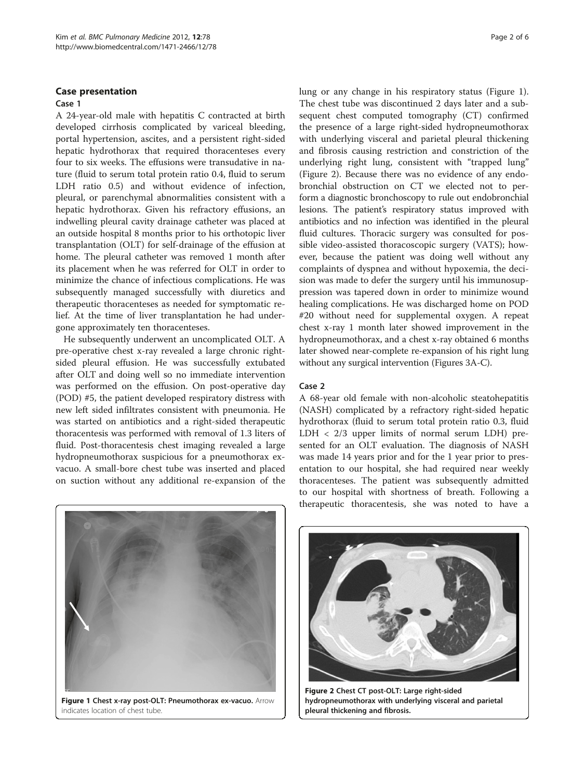#### Case presentation

## Case 1

A 24-year-old male with hepatitis C contracted at birth developed cirrhosis complicated by variceal bleeding, portal hypertension, ascites, and a persistent right-sided hepatic hydrothorax that required thoracenteses every four to six weeks. The effusions were transudative in nature (fluid to serum total protein ratio 0.4, fluid to serum LDH ratio 0.5) and without evidence of infection, pleural, or parenchymal abnormalities consistent with a hepatic hydrothorax. Given his refractory effusions, an indwelling pleural cavity drainage catheter was placed at an outside hospital 8 months prior to his orthotopic liver transplantation (OLT) for self-drainage of the effusion at home. The pleural catheter was removed 1 month after its placement when he was referred for OLT in order to minimize the chance of infectious complications. He was subsequently managed successfully with diuretics and therapeutic thoracenteses as needed for symptomatic relief. At the time of liver transplantation he had undergone approximately ten thoracenteses.

He subsequently underwent an uncomplicated OLT. A pre-operative chest x-ray revealed a large chronic rightsided pleural effusion. He was successfully extubated after OLT and doing well so no immediate intervention was performed on the effusion. On post-operative day (POD) #5, the patient developed respiratory distress with new left sided infiltrates consistent with pneumonia. He was started on antibiotics and a right-sided therapeutic thoracentesis was performed with removal of 1.3 liters of fluid. Post-thoracentesis chest imaging revealed a large hydropneumothorax suspicious for a pneumothorax exvacuo. A small-bore chest tube was inserted and placed on suction without any additional re-expansion of the lung or any change in his respiratory status (Figure 1). The chest tube was discontinued 2 days later and a subsequent chest computed tomography (CT) confirmed the presence of a large right-sided hydropneumothorax with underlying visceral and parietal pleural thickening and fibrosis causing restriction and constriction of the underlying right lung, consistent with "trapped lung" (Figure 2). Because there was no evidence of any endobronchial obstruction on CT we elected not to perform a diagnostic bronchoscopy to rule out endobronchial lesions. The patient's respiratory status improved with antibiotics and no infection was identified in the pleural fluid cultures. Thoracic surgery was consulted for possible video-assisted thoracoscopic surgery (VATS); however, because the patient was doing well without any complaints of dyspnea and without hypoxemia, the decision was made to defer the surgery until his immunosuppression was tapered down in order to minimize wound healing complications. He was discharged home on POD #20 without need for supplemental oxygen. A repeat chest x-ray 1 month later showed improvement in the hydropneumothorax, and a chest x-ray obtained 6 months later showed near-complete re-expansion of his right lung without any surgical intervention (Figures [3A-](#page-2-0)C).

#### Case 2

A 68-year old female with non-alcoholic steatohepatitis (NASH) complicated by a refractory right-sided hepatic hydrothorax (fluid to serum total protein ratio 0.3, fluid LDH  $\langle 2/3$  upper limits of normal serum LDH) presented for an OLT evaluation. The diagnosis of NASH was made 14 years prior and for the 1 year prior to presentation to our hospital, she had required near weekly thoracenteses. The patient was subsequently admitted to our hospital with shortness of breath. Following a therapeutic thoracentesis, she was noted to have a



Figure 1 Chest x-ray post-OLT: Pneumothorax ex-vacuo. Arrow indicates location of chest tube.



Figure 2 Chest CT post-OLT: Large right-sided hydropneumothorax with underlying visceral and parietal pleural thickening and fibrosis.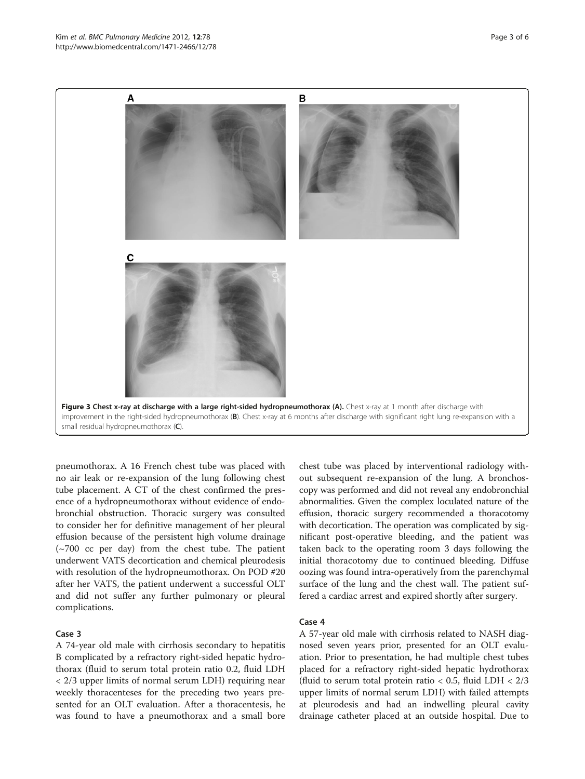<span id="page-2-0"></span>

pneumothorax. A 16 French chest tube was placed with no air leak or re-expansion of the lung following chest tube placement. A CT of the chest confirmed the presence of a hydropneumothorax without evidence of endobronchial obstruction. Thoracic surgery was consulted to consider her for definitive management of her pleural effusion because of the persistent high volume drainage (~700 cc per day) from the chest tube. The patient underwent VATS decortication and chemical pleurodesis with resolution of the hydropneumothorax. On POD #20 after her VATS, the patient underwent a successful OLT and did not suffer any further pulmonary or pleural complications.

## Case 3

A 74-year old male with cirrhosis secondary to hepatitis B complicated by a refractory right-sided hepatic hydrothorax (fluid to serum total protein ratio 0.2, fluid LDH < 2/3 upper limits of normal serum LDH) requiring near weekly thoracenteses for the preceding two years presented for an OLT evaluation. After a thoracentesis, he was found to have a pneumothorax and a small bore chest tube was placed by interventional radiology without subsequent re-expansion of the lung. A bronchoscopy was performed and did not reveal any endobronchial abnormalities. Given the complex loculated nature of the effusion, thoracic surgery recommended a thoracotomy with decortication. The operation was complicated by significant post-operative bleeding, and the patient was taken back to the operating room 3 days following the initial thoracotomy due to continued bleeding. Diffuse oozing was found intra-operatively from the parenchymal surface of the lung and the chest wall. The patient suffered a cardiac arrest and expired shortly after surgery.

## Case 4

A 57-year old male with cirrhosis related to NASH diagnosed seven years prior, presented for an OLT evaluation. Prior to presentation, he had multiple chest tubes placed for a refractory right-sided hepatic hydrothorax (fluid to serum total protein ratio  $< 0.5$ , fluid LDH  $< 2/3$ upper limits of normal serum LDH) with failed attempts at pleurodesis and had an indwelling pleural cavity drainage catheter placed at an outside hospital. Due to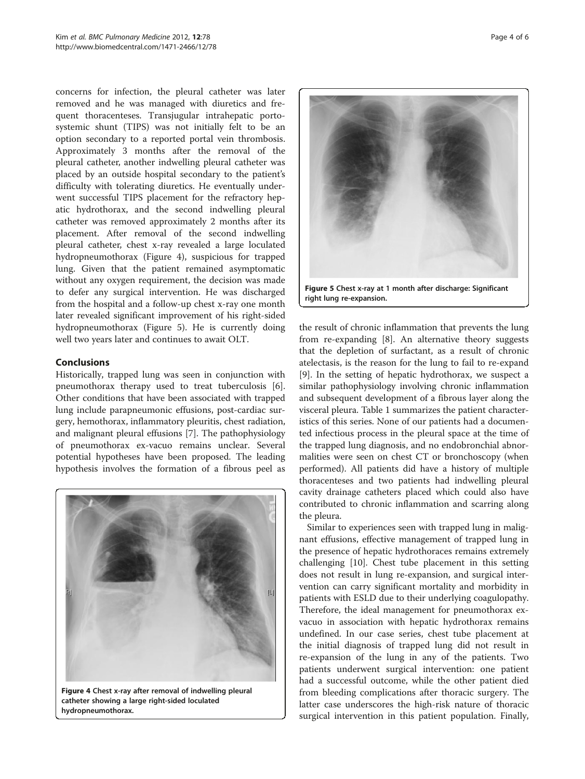concerns for infection, the pleural catheter was later removed and he was managed with diuretics and frequent thoracenteses. Transjugular intrahepatic portosystemic shunt (TIPS) was not initially felt to be an option secondary to a reported portal vein thrombosis. Approximately 3 months after the removal of the pleural catheter, another indwelling pleural catheter was placed by an outside hospital secondary to the patient's difficulty with tolerating diuretics. He eventually underwent successful TIPS placement for the refractory hepatic hydrothorax, and the second indwelling pleural catheter was removed approximately 2 months after its placement. After removal of the second indwelling pleural catheter, chest x-ray revealed a large loculated hydropneumothorax (Figure 4), suspicious for trapped lung. Given that the patient remained asymptomatic without any oxygen requirement, the decision was made to defer any surgical intervention. He was discharged from the hospital and a follow-up chest x-ray one month later revealed significant improvement of his right-sided hydropneumothorax (Figure 5). He is currently doing well two years later and continues to await OLT.

## Conclusions

Historically, trapped lung was seen in conjunction with pneumothorax therapy used to treat tuberculosis [\[6](#page-5-0)]. Other conditions that have been associated with trapped lung include parapneumonic effusions, post-cardiac surgery, hemothorax, inflammatory pleuritis, chest radiation, and malignant pleural effusions [[7\]](#page-5-0). The pathophysiology of pneumothorax ex-vacuo remains unclear. Several potential hypotheses have been proposed. The leading hypothesis involves the formation of a fibrous peel as



catheter showing a large right-sided loculated hydropneumothorax.



the result of chronic inflammation that prevents the lung from re-expanding [\[8](#page-5-0)]. An alternative theory suggests that the depletion of surfactant, as a result of chronic atelectasis, is the reason for the lung to fail to re-expand [[9\]](#page-5-0). In the setting of hepatic hydrothorax, we suspect a similar pathophysiology involving chronic inflammation and subsequent development of a fibrous layer along the visceral pleura. Table [1](#page-4-0) summarizes the patient characteristics of this series. None of our patients had a documented infectious process in the pleural space at the time of the trapped lung diagnosis, and no endobronchial abnormalities were seen on chest CT or bronchoscopy (when performed). All patients did have a history of multiple thoracenteses and two patients had indwelling pleural cavity drainage catheters placed which could also have contributed to chronic inflammation and scarring along the pleura.

Similar to experiences seen with trapped lung in malignant effusions, effective management of trapped lung in the presence of hepatic hydrothoraces remains extremely challenging [\[10](#page-5-0)]. Chest tube placement in this setting does not result in lung re-expansion, and surgical intervention can carry significant mortality and morbidity in patients with ESLD due to their underlying coagulopathy. Therefore, the ideal management for pneumothorax exvacuo in association with hepatic hydrothorax remains undefined. In our case series, chest tube placement at the initial diagnosis of trapped lung did not result in re-expansion of the lung in any of the patients. Two patients underwent surgical intervention: one patient had a successful outcome, while the other patient died from bleeding complications after thoracic surgery. The latter case underscores the high-risk nature of thoracic surgical intervention in this patient population. Finally,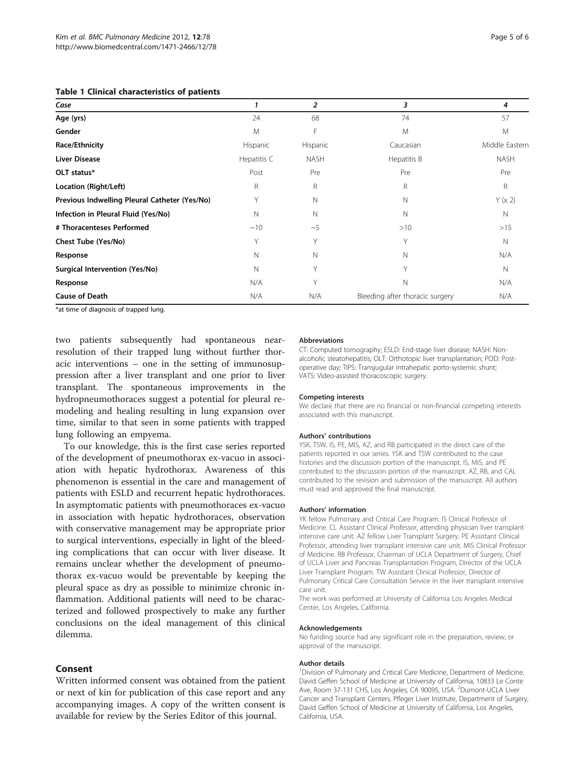<span id="page-4-0"></span>Table 1 Clinical characteristics of patients

| Case                                          |             | 2           | 3                               | 4              |
|-----------------------------------------------|-------------|-------------|---------------------------------|----------------|
| Age (yrs)                                     | 24          | 68          | 74                              | 57             |
| Gender                                        | M           | F           | M                               | M              |
| Race/Ethnicity                                | Hispanic    | Hispanic    | Caucasian                       | Middle Eastern |
| <b>Liver Disease</b>                          | Hepatitis C | <b>NASH</b> | Hepatitis B                     | <b>NASH</b>    |
| OLT status*                                   | Post        | Pre         | Pre                             | Pre            |
| Location (Right/Left)                         | R           | R           | R                               | R              |
| Previous Indwelling Pleural Catheter (Yes/No) | $\vee$      | Ν           | $\mathsf{N}$                    | Y(x 2)         |
| Infection in Pleural Fluid (Yes/No)           | $\mathbb N$ | N           | N                               | N              |
| # Thoracenteses Performed                     | ~10         | ~1          | >10                             | >15            |
| Chest Tube (Yes/No)                           | Υ           | Υ           | Y                               | N              |
| Response                                      | $\mathbb N$ | N           | N                               | N/A            |
| <b>Surgical Intervention (Yes/No)</b>         | $\mathbb N$ | Υ           | Y                               | N              |
| Response                                      | N/A         | Υ           | $\mathsf{N}$                    | N/A            |
| <b>Cause of Death</b>                         | N/A         | N/A         | Bleeding after thoracic surgery | N/A            |

\*at time of diagnosis of trapped lung.

two patients subsequently had spontaneous nearresolution of their trapped lung without further thoracic interventions – one in the setting of immunosuppression after a liver transplant and one prior to liver transplant. The spontaneous improvements in the hydropneumothoraces suggest a potential for pleural remodeling and healing resulting in lung expansion over time, similar to that seen in some patients with trapped lung following an empyema.

To our knowledge, this is the first case series reported of the development of pneumothorax ex-vacuo in association with hepatic hydrothorax. Awareness of this phenomenon is essential in the care and management of patients with ESLD and recurrent hepatic hydrothoraces. In asymptomatic patients with pneumothoraces ex-vacuo in association with hepatic hydrothoraces, observation with conservative management may be appropriate prior to surgical interventions, especially in light of the bleeding complications that can occur with liver disease. It remains unclear whether the development of pneumothorax ex-vacuo would be preventable by keeping the pleural space as dry as possible to minimize chronic inflammation. Additional patients will need to be characterized and followed prospectively to make any further conclusions on the ideal management of this clinical dilemma.

## Consent

Written informed consent was obtained from the patient or next of kin for publication of this case report and any accompanying images. A copy of the written consent is available for review by the Series Editor of this journal.

#### Abbreviations

CT: Computed tomography; ESLD: End-stage liver disease; NASH: Nonalcoholic steatohepatitis; OLT: Orthotopic liver transplantation; POD: Postoperative day; TIPS: Transjugular intrahepatic porto-systemic shunt; VATS: Video-assisted thoracoscopic surgery.

#### Competing interests

We declare that there are no financial or non-financial competing interests associated with this manuscript.

#### Authors' contributions

YSK, TSW, IS, PE, MIS, AZ, and RB participated in the direct care of the patients reported in our series. YSK and TSW contributed to the case histories and the discussion portion of the manuscript. IS, MIS, and PE contributed to the discussion portion of the manuscript. AZ, RB, and CAL contributed to the revision and submission of the manuscript. All authors must read and approved the final manuscript.

#### Authors' information

YK fellow Pulmonary and Critical Care Program. IS Clinical Professor of Medicine. CL Assistant Clinical Professor, attending physician liver transplant intensive care unit. AZ fellow Liver Transplant Surgery. PE Assistant Clinical Professor, attending liver transplant intensive care unit. MIS Clinical Professor of Medicine. RB Professor, Chairman of UCLA Department of Surgery, Chief of UCLA Liver and Pancreas Transplantation Program, Director of the UCLA Liver Transplant Program. TW Assistant Clinical Professor, Director of Pulmonary Critical Care Consultation Service in the liver transplant intensive care unit.

The work was performed at University of California Los Angeles Medical Center, Los Angeles, California.

#### Acknowledgements

No funding source had any significant role in the preparation, review, or approval of the manuscript.

#### Author details

<sup>1</sup> Division of Pulmonary and Critical Care Medicine, Department of Medicine, David Geffen School of Medicine at University of California, 10833 Le Conte Ave, Room 37-131 CHS, Los Angeles, CA 90095, USA. <sup>2</sup>Dumont-UCLA Liver Cancer and Transplant Centers, Pfleger Liver Institute, Department of Surgery, David Geffen School of Medicine at University of California, Los Angeles, California, USA.